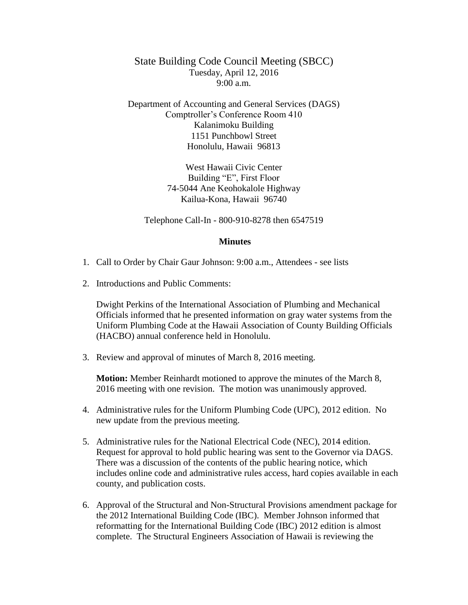State Building Code Council Meeting (SBCC) Tuesday, April 12, 2016  $9:00 a.m.$ 

Department of Accounting and General Services (DAGS) Comptroller's Conference Room 410 Kalanimoku Building 1151 Punchbowl Street Honolulu, Hawaii 96813

> West Hawaii Civic Center Building "E", First Floor 74-5044 Ane Keohokalole Highway Kailua-Kona, Hawaii 96740

Telephone Call-In - 800-910-8278 then 6547519

## **Minutes**

- 1. Call to Order by Chair Gaur Johnson: 9:00 a.m., Attendees see lists
- 2. Introductions and Public Comments:

Dwight Perkins of the International Association of Plumbing and Mechanical Officials informed that he presented information on gray water systems from the Uniform Plumbing Code at the Hawaii Association of County Building Officials (HACBO) annual conference held in Honolulu.

3. Review and approval of minutes of March 8, 2016 meeting.

**Motion:** Member Reinhardt motioned to approve the minutes of the March 8, 2016 meeting with one revision. The motion was unanimously approved.

- 4. Administrative rules for the Uniform Plumbing Code (UPC), 2012 edition. No new update from the previous meeting.
- 5. Administrative rules for the National Electrical Code (NEC), 2014 edition. Request for approval to hold public hearing was sent to the Governor via DAGS. There was a discussion of the contents of the public hearing notice, which includes online code and administrative rules access, hard copies available in each county, and publication costs.
- 6. Approval of the Structural and Non-Structural Provisions amendment package for the 2012 International Building Code (IBC). Member Johnson informed that reformatting for the International Building Code (IBC) 2012 edition is almost complete. The Structural Engineers Association of Hawaii is reviewing the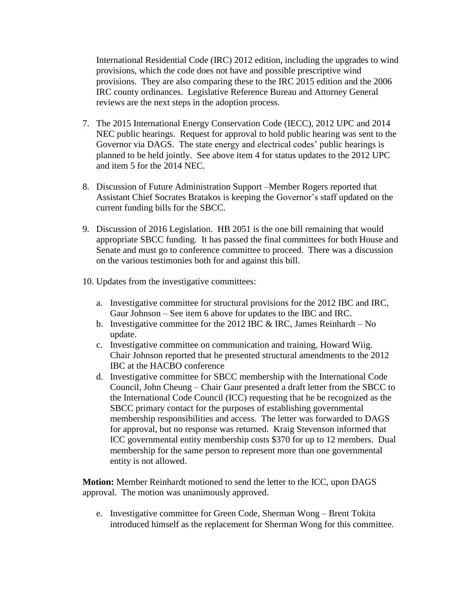International Residential Code (IRC) 2012 edition, including the upgrades to wind provisions, which the code does not have and possible prescriptive wind provisions. They are also comparing these to the IRC 2015 edition and the 2006 IRC county ordinances. Legislative Reference Bureau and Attorney General reviews are the next steps in the adoption process.

- 7. The 2015 International Energy Conservation Code (IECC), 2012 UPC and 2014 NEC public hearings. Request for approval to hold public hearing was sent to the Governor via DAGS. The state energy and electrical codes' public hearings is planned to be held jointly. See above item 4 for status updates to the 2012 UPC and item 5 for the 2014 NEC.
- 8. Discussion of Future Administration Support –Member Rogers reported that Assistant Chief Socrates Bratakos is keeping the Governor's staff updated on the current funding bills for the SBCC.
- 9. Discussion of 2016 Legislation. HB 2051 is the one bill remaining that would appropriate SBCC funding. It has passed the final committees for both House and Senate and must go to conference committee to proceed. There was a discussion on the various testimonies both for and against this bill.
- 10. Updates from the investigative committees:
	- a. Investigative committee for structural provisions for the 2012 IBC and IRC, Gaur Johnson – See item 6 above for updates to the IBC and IRC.
	- b. Investigative committee for the 2012 IBC  $&$  IRC, James Reinhardt No update.
	- c. Investigative committee on communication and training, Howard Wiig. Chair Johnson reported that he presented structural amendments to the 2012 IBC at the HACBO conference
	- d. Investigative committee for SBCC membership with the International Code Council, John Cheung – Chair Gaur presented a draft letter from the SBCC to the International Code Council (ICC) requesting that he be recognized as the SBCC primary contact for the purposes of establishing governmental membership responsibilities and access. The letter was forwarded to DAGS for approval, but no response was returned. Kraig Stevenson informed that ICC governmental entity membership costs \$370 for up to 12 members. Dual membership for the same person to represent more than one governmental entity is not allowed.

**Motion:** Member Reinhardt motioned to send the letter to the ICC, upon DAGS approval. The motion was unanimously approved.

e. Investigative committee for Green Code, Sherman Wong – Brent Tokita introduced himself as the replacement for Sherman Wong for this committee.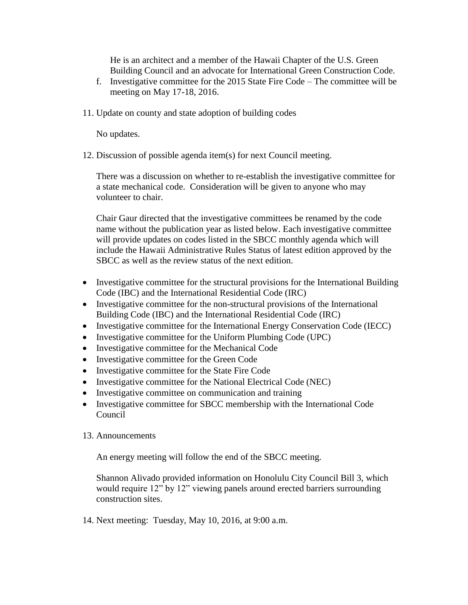He is an architect and a member of the Hawaii Chapter of the U.S. Green Building Council and an advocate for International Green Construction Code.

- f. Investigative committee for the 2015 State Fire Code The committee will be meeting on May 17-18, 2016.
- 11. Update on county and state adoption of building codes

No updates.

12. Discussion of possible agenda item(s) for next Council meeting.

There was a discussion on whether to re-establish the investigative committee for a state mechanical code. Consideration will be given to anyone who may volunteer to chair.

Chair Gaur directed that the investigative committees be renamed by the code name without the publication year as listed below. Each investigative committee will provide updates on codes listed in the SBCC monthly agenda which will include the Hawaii Administrative Rules Status of latest edition approved by the SBCC as well as the review status of the next edition.

- Investigative committee for the structural provisions for the International Building Code (IBC) and the International Residential Code (IRC)
- Investigative committee for the non-structural provisions of the International Building Code (IBC) and the International Residential Code (IRC)
- Investigative committee for the International Energy Conservation Code (IECC)
- Investigative committee for the Uniform Plumbing Code (UPC)
- Investigative committee for the Mechanical Code
- Investigative committee for the Green Code
- Investigative committee for the State Fire Code
- Investigative committee for the National Electrical Code (NEC)
- Investigative committee on communication and training
- Investigative committee for SBCC membership with the International Code Council
- 13. Announcements

An energy meeting will follow the end of the SBCC meeting.

Shannon Alivado provided information on Honolulu City Council Bill 3, which would require 12" by 12" viewing panels around erected barriers surrounding construction sites.

14. Next meeting: Tuesday, May 10, 2016, at 9:00 a.m.